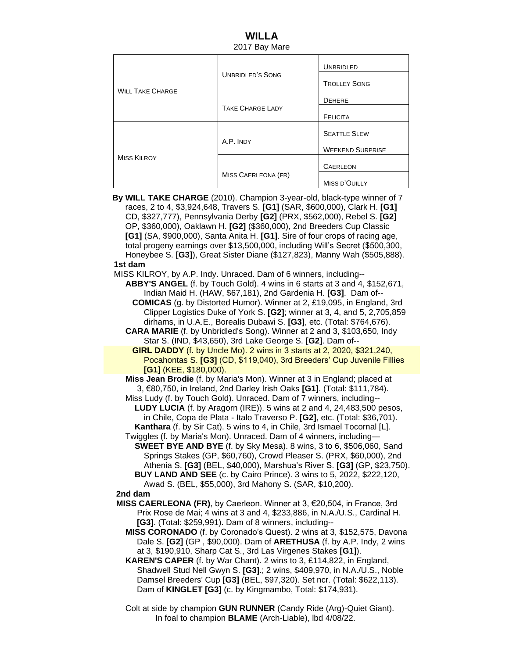## **WILLA** 2017 Bay Mare

| <b>WILL TAKE CHARGE</b> | <b>UNBRIDLED'S SONG</b> | <b>UNBRIDLED</b>        |
|-------------------------|-------------------------|-------------------------|
|                         |                         | <b>TROLLEY SONG</b>     |
|                         |                         | <b>DEHERE</b>           |
|                         | <b>TAKE CHARGE LADY</b> | <b>FELICITA</b>         |
| <b>MISS KILROY</b>      | A.P. INDY               | <b>SEATTLE SLEW</b>     |
|                         |                         | <b>WEEKEND SURPRISE</b> |
|                         |                         | <b>CAERLEON</b>         |
|                         | MISS CAERLEONA (FR)     | MISS D'OUILLY           |

 **By WILL TAKE CHARGE** (2010). Champion 3-year-old, black-type winner of 7 races, 2 to 4, \$3,924,648, Travers S. **[G1]** (SAR, \$600,000), Clark H. **[G1]** CD, \$327,777), Pennsylvania Derby **[G2]** (PRX, \$562,000), Rebel S. **[G2]** OP, \$360,000), Oaklawn H. **[G2]** (\$360,000), 2nd Breeders Cup Classic **[G1]** (SA, \$900,000), Santa Anita H. **[G1]**. Sire of four crops of racing age, total progeny earnings over \$13,500,000, including Will's Secret (\$500,300, Honeybee S. **[G3]**), Great Sister Diane (\$127,823), Manny Wah (\$505,888). **1st dam**

MISS KILROY, by A.P. Indy. Unraced. Dam of 6 winners, including--

 **ABBY'S ANGEL** (f. by Touch Gold). 4 wins in 6 starts at 3 and 4, \$152,671, Indian Maid H. (HAW, \$67,181), 2nd Gardenia H. **[G3]**. Dam of--

 **COMICAS** (g. by Distorted Humor). Winner at 2, £19,095, in England, 3rd Clipper Logistics Duke of York S. **[G2]**; winner at 3, 4, and 5, 2,705,859 dirhams, in U.A.E., Borealis Dubawi S. **[G3]**, etc. (Total: \$764,676).

 **CARA MARIE** (f. by Unbridled's Song). Winner at 2 and 3, \$103,650, Indy Star S. (IND, \$43,650), 3rd Lake George S. **[G2]**. Dam of--

 **GIRL DADDY** (f. by Uncle Mo). 2 wins in 3 starts at 2, 2020, \$321,240, Pocahontas S. **[G3]** (CD, \$119,040), 3rd Breeders' Cup Juvenile Fillies **[G1]** (KEE, \$180,000).

 **Miss Jean Brodie** (f. by Maria's Mon). Winner at 3 in England; placed at 3, €80,750, in Ireland, 2nd Darley Irish Oaks **[G1]**. (Total: \$111,784).

 Miss Ludy (f. by Touch Gold). Unraced. Dam of 7 winners, including-- **LUDY LUCIA** (f. by Aragorn (IRE)). 5 wins at 2 and 4, 24,483,500 pesos, in Chile, Copa de Plata - Italo Traverso P. **[G2]**, etc. (Total: \$36,701). **Kanthara** (f. by Sir Cat). 5 wins to 4, in Chile, 3rd Ismael Tocornal [L].

Twiggles (f. by Maria's Mon). Unraced. Dam of 4 winners, including—

 **SWEET BYE AND BYE** (f. by Sky Mesa). 8 wins, 3 to 6, \$506,060, Sand Springs Stakes (GP, \$60,760), Crowd Pleaser S. (PRX, \$60,000), 2nd Athenia S. **[G3]** (BEL, \$40,000), Marshua's River S. **[G3]** (GP, \$23,750). **BUY LAND AND SEE** (c. by Cairo Prince). 3 wins to 5, 2022, \$222,120,

 Awad S. (BEL, \$55,000), 3rd Mahony S. (SAR, \$10,200). **2nd dam**

 **MISS CAERLEONA (FR)**, by Caerleon. Winner at 3, €20,504, in France, 3rd Prix Rose de Mai; 4 wins at 3 and 4, \$233,886, in N.A./U.S., Cardinal H. **[G3]**. (Total: \$259,991). Dam of 8 winners, including--

 **MISS CORONADO** (f. by Coronado's Quest). 2 wins at 3, \$152,575, Davona Dale S. **[G2]** (GP , \$90,000). Dam of **ARETHUSA** (f. by A.P. Indy, 2 wins at 3, \$190,910, Sharp Cat S., 3rd Las Virgenes Stakes **[G1]**).

 **KAREN'S CAPER** (f. by War Chant). 2 wins to 3, £114,822, in England, Shadwell Stud Nell Gwyn S. **[G3]**.; 2 wins, \$409,970, in N.A./U.S., Noble Damsel Breeders' Cup **[G3]** (BEL, \$97,320). Set ncr. (Total: \$622,113). Dam of **KINGLET [G3]** (c. by Kingmambo, Total: \$174,931).

 Colt at side by champion **GUN RUNNER** (Candy Ride (Arg)-Quiet Giant). In foal to champion **BLAME** (Arch-Liable), lbd 4/08/22.